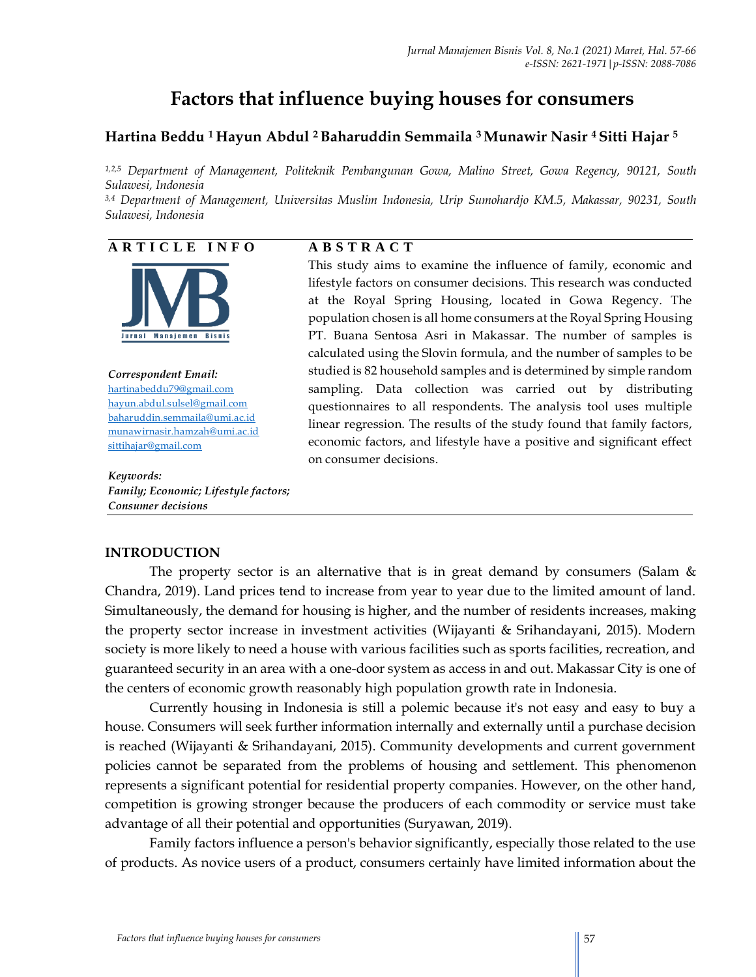# **Factors that influence buying houses for consumers**

# **Hartina Beddu <sup>1</sup> Hayun Abdul <sup>2</sup>Baharuddin Semmaila 3Munawir Nasir <sup>4</sup> Sitti Hajar <sup>5</sup>**

*1,2,5 Department of Management, Politeknik Pembangunan Gowa, Malino Street, Gowa Regency, 90121, South Sulawesi, Indonesia*

*3,4 Department of Management, Universitas Muslim Indonesia, Urip Sumohardjo KM.5, Makassar, 90231, South Sulawesi, Indonesia*

## **A R T I C L E I N F O**



*Correspondent Email:* [hartinabeddu7](mailto:fitri@stienobel-indonesia.ac.id)9@gmail.com [hayun.abdul.sulsel@gmail.com](mailto:asniwati@stienobel-indonesia.ac.id) [baharuddin.semmaila@umi.ac.id](mailto:baharuddin.semmaila@umi.ac.id) [munawirnasir.hamzah@umi.ac.id](mailto:munawirnasir.hamzah@umi.ac.id) [sittihajar@gmail.com](mailto:sittihajar@gmail.com)

*Keywords: Family; Economic; Lifestyle factors; Consumer decisions*

## **A B S T R A C T**

This study aims to examine the influence of family, economic and lifestyle factors on consumer decisions. This research was conducted at the Royal Spring Housing, located in Gowa Regency. The population chosen is all home consumers at the Royal Spring Housing PT. Buana Sentosa Asri in Makassar. The number of samples is calculated using the Slovin formula, and the number of samples to be studied is 82 household samples and is determined by simple random sampling. Data collection was carried out by distributing questionnaires to all respondents. The analysis tool uses multiple linear regression. The results of the study found that family factors, economic factors, and lifestyle have a positive and significant effect on consumer decisions.

## **INTRODUCTION**

The property sector is an alternative that is in great demand by consumers (Salam  $\&$ Chandra, 2019). Land prices tend to increase from year to year due to the limited amount of land. Simultaneously, the demand for housing is higher, and the number of residents increases, making the property sector increase in investment activities (Wijayanti & Srihandayani, 2015). Modern society is more likely to need a house with various facilities such as sports facilities, recreation, and guaranteed security in an area with a one-door system as access in and out. Makassar City is one of the centers of economic growth reasonably high population growth rate in Indonesia.

Currently housing in Indonesia is still a polemic because it's not easy and easy to buy a house. Consumers will seek further information internally and externally until a purchase decision is reached (Wijayanti & Srihandayani, 2015). Community developments and current government policies cannot be separated from the problems of housing and settlement. This phenomenon represents a significant potential for residential property companies. However, on the other hand, competition is growing stronger because the producers of each commodity or service must take advantage of all their potential and opportunities (Suryawan, 2019).

Family factors influence a person's behavior significantly, especially those related to the use of products. As novice users of a product, consumers certainly have limited information about the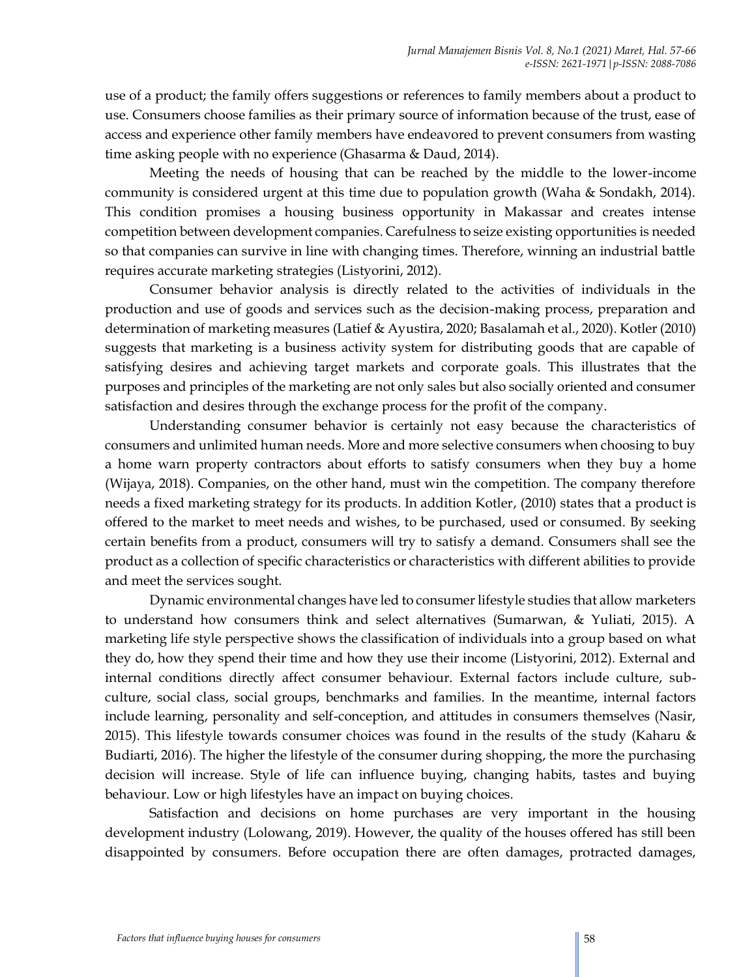use of a product; the family offers suggestions or references to family members about a product to use. Consumers choose families as their primary source of information because of the trust, ease of access and experience other family members have endeavored to prevent consumers from wasting time asking people with no experience (Ghasarma & Daud, 2014).

Meeting the needs of housing that can be reached by the middle to the lower-income community is considered urgent at this time due to population growth (Waha & Sondakh, 2014). This condition promises a housing business opportunity in Makassar and creates intense competition between development companies. Carefulness to seize existing opportunities is needed so that companies can survive in line with changing times. Therefore, winning an industrial battle requires accurate marketing strategies (Listyorini, 2012).

Consumer behavior analysis is directly related to the activities of individuals in the production and use of goods and services such as the decision-making process, preparation and determination of marketing measures (Latief & Ayustira, 2020; Basalamah et al., 2020). Kotler (2010) suggests that marketing is a business activity system for distributing goods that are capable of satisfying desires and achieving target markets and corporate goals. This illustrates that the purposes and principles of the marketing are not only sales but also socially oriented and consumer satisfaction and desires through the exchange process for the profit of the company.

Understanding consumer behavior is certainly not easy because the characteristics of consumers and unlimited human needs. More and more selective consumers when choosing to buy a home warn property contractors about efforts to satisfy consumers when they buy a home (Wijaya, 2018). Companies, on the other hand, must win the competition. The company therefore needs a fixed marketing strategy for its products. In addition Kotler, (2010) states that a product is offered to the market to meet needs and wishes, to be purchased, used or consumed. By seeking certain benefits from a product, consumers will try to satisfy a demand. Consumers shall see the product as a collection of specific characteristics or characteristics with different abilities to provide and meet the services sought.

Dynamic environmental changes have led to consumer lifestyle studies that allow marketers to understand how consumers think and select alternatives (Sumarwan, & Yuliati, 2015). A marketing life style perspective shows the classification of individuals into a group based on what they do, how they spend their time and how they use their income (Listyorini, 2012). External and internal conditions directly affect consumer behaviour. External factors include culture, subculture, social class, social groups, benchmarks and families. In the meantime, internal factors include learning, personality and self-conception, and attitudes in consumers themselves (Nasir, 2015). This lifestyle towards consumer choices was found in the results of the study (Kaharu  $\&$ Budiarti, 2016). The higher the lifestyle of the consumer during shopping, the more the purchasing decision will increase. Style of life can influence buying, changing habits, tastes and buying behaviour. Low or high lifestyles have an impact on buying choices.

Satisfaction and decisions on home purchases are very important in the housing development industry (Lolowang, 2019). However, the quality of the houses offered has still been disappointed by consumers. Before occupation there are often damages, protracted damages,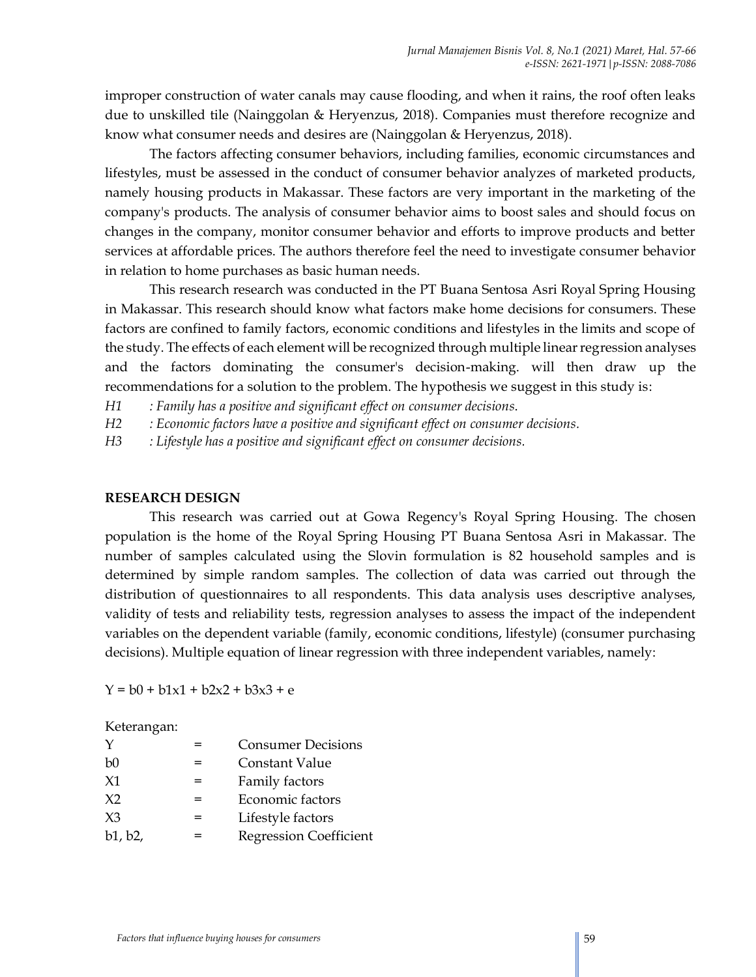improper construction of water canals may cause flooding, and when it rains, the roof often leaks due to unskilled tile (Nainggolan & Heryenzus, 2018). Companies must therefore recognize and know what consumer needs and desires are (Nainggolan & Heryenzus, 2018).

The factors affecting consumer behaviors, including families, economic circumstances and lifestyles, must be assessed in the conduct of consumer behavior analyzes of marketed products, namely housing products in Makassar. These factors are very important in the marketing of the company's products. The analysis of consumer behavior aims to boost sales and should focus on changes in the company, monitor consumer behavior and efforts to improve products and better services at affordable prices. The authors therefore feel the need to investigate consumer behavior in relation to home purchases as basic human needs.

This research research was conducted in the PT Buana Sentosa Asri Royal Spring Housing in Makassar. This research should know what factors make home decisions for consumers. These factors are confined to family factors, economic conditions and lifestyles in the limits and scope of the study. The effects of each element will be recognized through multiple linear regression analyses and the factors dominating the consumer's decision-making. will then draw up the recommendations for a solution to the problem. The hypothesis we suggest in this study is:

*H1 : Family has a positive and significant effect on consumer decisions*.

*H2 : Economic factors have a positive and significant effect on consumer decisions.*

*H3 : Lifestyle has a positive and significant effect on consumer decisions.*

#### **RESEARCH DESIGN**

This research was carried out at Gowa Regency's Royal Spring Housing. The chosen population is the home of the Royal Spring Housing PT Buana Sentosa Asri in Makassar. The number of samples calculated using the Slovin formulation is 82 household samples and is determined by simple random samples. The collection of data was carried out through the distribution of questionnaires to all respondents. This data analysis uses descriptive analyses, validity of tests and reliability tests, regression analyses to assess the impact of the independent variables on the dependent variable (family, economic conditions, lifestyle) (consumer purchasing decisions). Multiple equation of linear regression with three independent variables, namely:

 $Y = b0 + b1x1 + b2x2 + b3x3 + e$ 

Keterangan:

| Y              | $=$ | <b>Consumer Decisions</b>     |
|----------------|-----|-------------------------------|
| b <sub>0</sub> | $=$ | Constant Value                |
| X <sub>1</sub> | $=$ | Family factors                |
| X <sub>2</sub> | $=$ | Economic factors              |
| $X_3$          | $=$ | Lifestyle factors             |
| b1, b2,        | =   | <b>Regression Coefficient</b> |
|                |     |                               |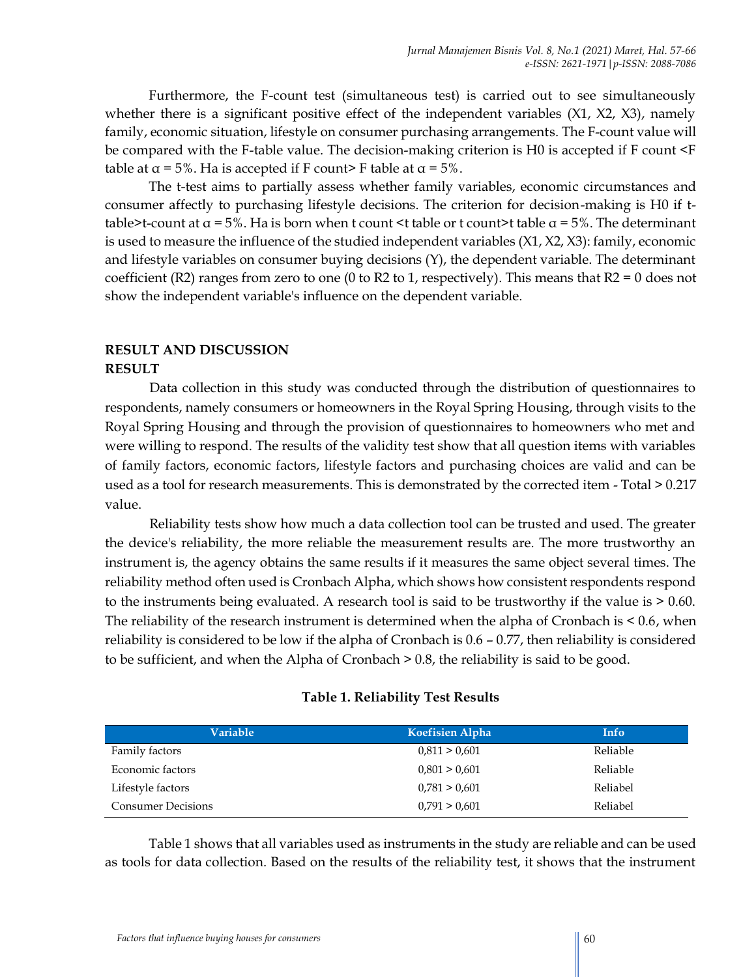Furthermore, the F-count test (simultaneous test) is carried out to see simultaneously whether there is a significant positive effect of the independent variables (X1, X2, X3), namely family, economic situation, lifestyle on consumer purchasing arrangements. The F-count value will be compared with the F-table value. The decision-making criterion is H0 is accepted if F count <F table at  $\alpha$  = 5%. Ha is accepted if F count> F table at  $\alpha$  = 5%.

The t-test aims to partially assess whether family variables, economic circumstances and consumer affectly to purchasing lifestyle decisions. The criterion for decision-making is H0 if ttable>t-count at  $\alpha$  = 5%. Ha is born when t count <t table or t count>t table  $\alpha$  = 5%. The determinant is used to measure the influence of the studied independent variables (X1, X2, X3): family, economic and lifestyle variables on consumer buying decisions (Y), the dependent variable. The determinant coefficient (R2) ranges from zero to one (0 to R2 to 1, respectively). This means that R2 = 0 does not show the independent variable's influence on the dependent variable.

## **RESULT AND DISCUSSION RESULT**

Data collection in this study was conducted through the distribution of questionnaires to respondents, namely consumers or homeowners in the Royal Spring Housing, through visits to the Royal Spring Housing and through the provision of questionnaires to homeowners who met and were willing to respond. The results of the validity test show that all question items with variables of family factors, economic factors, lifestyle factors and purchasing choices are valid and can be used as a tool for research measurements. This is demonstrated by the corrected item - Total > 0.217 value.

Reliability tests show how much a data collection tool can be trusted and used. The greater the device's reliability, the more reliable the measurement results are. The more trustworthy an instrument is, the agency obtains the same results if it measures the same object several times. The reliability method often used is Cronbach Alpha, which shows how consistent respondents respond to the instruments being evaluated. A research tool is said to be trustworthy if the value is > 0.60. The reliability of the research instrument is determined when the alpha of Cronbach is < 0.6, when reliability is considered to be low if the alpha of Cronbach is 0.6 – 0.77, then reliability is considered to be sufficient, and when the Alpha of Cronbach > 0.8, the reliability is said to be good.

| Variable                  | <b>Koefisien Alpha</b> | Info     |
|---------------------------|------------------------|----------|
| Family factors            | 0.811 > 0.601          | Reliable |
| Economic factors          | 0,801 > 0,601          | Reliable |
| Lifestyle factors         | 0.781 > 0.601          | Reliabel |
| <b>Consumer Decisions</b> | 0,791 > 0,601          | Reliabel |

## **Table 1. Reliability Test Results**

Table 1 shows that all variables used as instruments in the study are reliable and can be used as tools for data collection. Based on the results of the reliability test, it shows that the instrument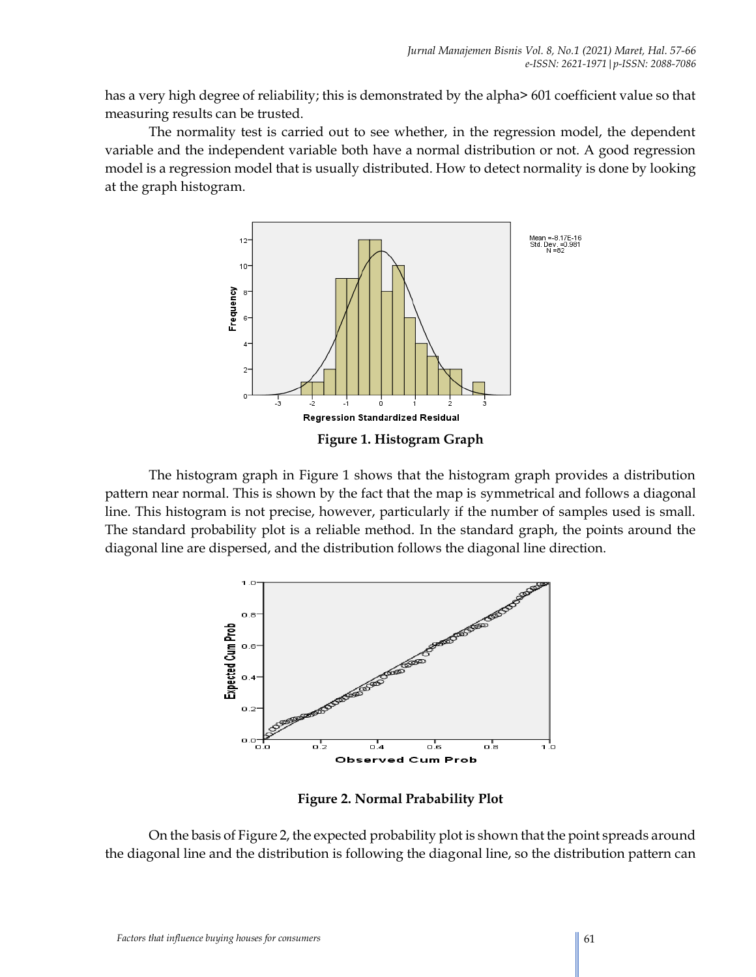has a very high degree of reliability; this is demonstrated by the alpha $> 601$  coefficient value so that measuring results can be trusted.

The normality test is carried out to see whether, in the regression model, the dependent variable and the independent variable both have a normal distribution or not. A good regression model is a regression model that is usually distributed. How to detect normality is done by looking at the graph histogram.



**Figure 1. Histogram Graph**

The histogram graph in Figure 1 shows that the histogram graph provides a distribution pattern near normal. This is shown by the fact that the map is symmetrical and follows a diagonal line. This histogram is not precise, however, particularly if the number of samples used is small. The standard probability plot is a reliable method. In the standard graph, the points around the diagonal line are dispersed, and the distribution follows the diagonal line direction.



**Figure 2. Normal Prabability Plot**

On the basis of Figure 2, the expected probability plot is shown that the point spreads around the diagonal line and the distribution is following the diagonal line, so the distribution pattern can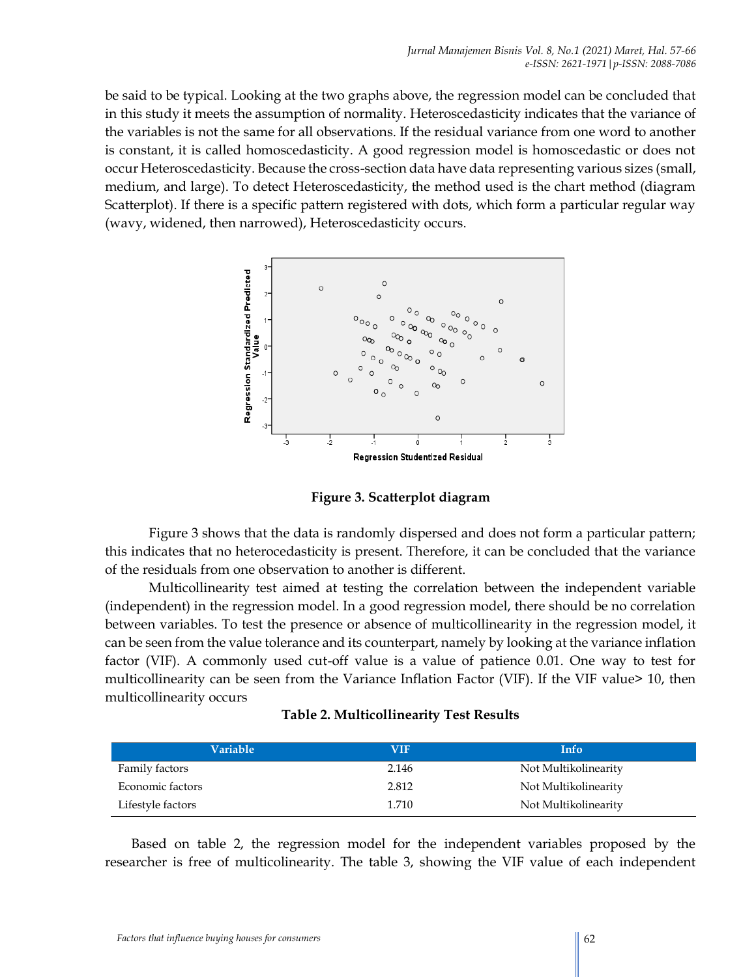be said to be typical. Looking at the two graphs above, the regression model can be concluded that in this study it meets the assumption of normality. Heteroscedasticity indicates that the variance of the variables is not the same for all observations. If the residual variance from one word to another is constant, it is called homoscedasticity. A good regression model is homoscedastic or does not occur Heteroscedasticity. Because the cross-section data have data representing various sizes (small, medium, and large). To detect Heteroscedasticity, the method used is the chart method (diagram Scatterplot). If there is a specific pattern registered with dots, which form a particular regular way (wavy, widened, then narrowed), Heteroscedasticity occurs.



**Figure 3. Scatterplot diagram**

Figure 3 shows that the data is randomly dispersed and does not form a particular pattern; this indicates that no heterocedasticity is present. Therefore, it can be concluded that the variance of the residuals from one observation to another is different.

Multicollinearity test aimed at testing the correlation between the independent variable (independent) in the regression model. In a good regression model, there should be no correlation between variables. To test the presence or absence of multicollinearity in the regression model, it can be seen from the value tolerance and its counterpart, namely by looking at the variance inflation factor (VIF). A commonly used cut-off value is a value of patience 0.01. One way to test for multicollinearity can be seen from the Variance Inflation Factor (VIF). If the VIF value> 10, then multicollinearity occurs

| Variable          | VIF   | Info                 |  |
|-------------------|-------|----------------------|--|
| Family factors    | 2.146 | Not Multikolinearity |  |
| Economic factors  | 2.812 | Not Multikolinearity |  |
| Lifestyle factors | 1.710 | Not Multikolinearity |  |

Based on table 2, the regression model for the independent variables proposed by the researcher is free of multicolinearity. The table 3, showing the VIF value of each independent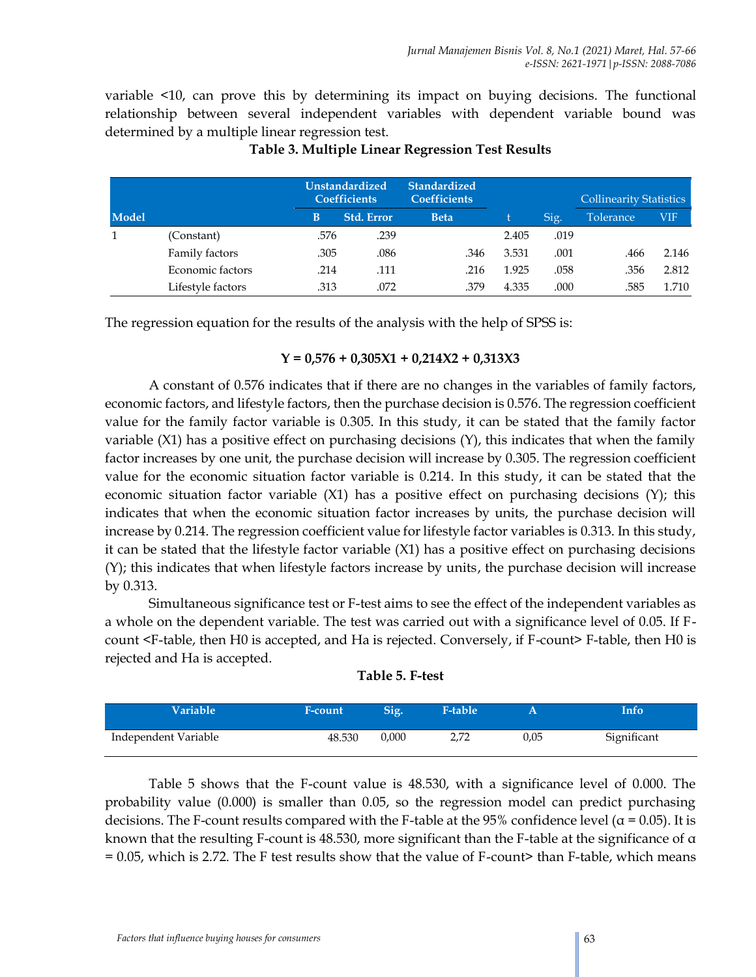variable <10, can prove this by determining its impact on buying decisions. The functional relationship between several independent variables with dependent variable bound was determined by a multiple linear regression test.

|              |                   |      | <b>Unstandardized</b><br><b>Coefficients</b> | <b>Standardized</b><br><b>Coefficients</b> |       |      | <b>Collinearity Statistics</b> |       |
|--------------|-------------------|------|----------------------------------------------|--------------------------------------------|-------|------|--------------------------------|-------|
| <b>Model</b> |                   | В    | <b>Std. Error</b>                            | <b>Beta</b>                                |       | Sig. | Tolerance                      | VIF   |
|              | (Constant)        | .576 | .239                                         |                                            | 2.405 | .019 |                                |       |
|              | Family factors    | .305 | .086                                         | .346                                       | 3.531 | .001 | .466                           | 2.146 |
|              | Economic factors  | .214 | .111                                         | .216                                       | 1.925 | .058 | .356                           | 2.812 |
|              | Lifestyle factors | .313 | .072                                         | .379                                       | 4.335 | .000 | .585                           | 1.710 |

## **Table 3. Multiple Linear Regression Test Results**

The regression equation for the results of the analysis with the help of SPSS is:

#### **Y = 0,576 + 0,305X1 + 0,214X2 + 0,313X3**

A constant of 0.576 indicates that if there are no changes in the variables of family factors, economic factors, and lifestyle factors, then the purchase decision is 0.576. The regression coefficient value for the family factor variable is 0.305. In this study, it can be stated that the family factor variable (X1) has a positive effect on purchasing decisions (Y), this indicates that when the family factor increases by one unit, the purchase decision will increase by 0.305. The regression coefficient value for the economic situation factor variable is 0.214. In this study, it can be stated that the economic situation factor variable (X1) has a positive effect on purchasing decisions (Y); this indicates that when the economic situation factor increases by units, the purchase decision will increase by 0.214. The regression coefficient value for lifestyle factor variables is 0.313. In this study, it can be stated that the lifestyle factor variable (X1) has a positive effect on purchasing decisions (Y); this indicates that when lifestyle factors increase by units, the purchase decision will increase by 0.313.

Simultaneous significance test or F-test aims to see the effect of the independent variables as a whole on the dependent variable. The test was carried out with a significance level of 0.05. If Fcount <F-table, then H0 is accepted, and Ha is rejected. Conversely, if F-count> F-table, then H0 is rejected and Ha is accepted.

| Table 5. F-test |  |
|-----------------|--|
|-----------------|--|

| <b>Variable</b>      | F-count | Sig.  | F-table <sup>1</sup> |      | Info'       |
|----------------------|---------|-------|----------------------|------|-------------|
| Independent Variable | 48.530  | 0.000 | רד ר                 | 0,05 | Significant |

Table 5 shows that the F-count value is 48.530, with a significance level of 0.000. The probability value (0.000) is smaller than 0.05, so the regression model can predict purchasing decisions. The F-count results compared with the F-table at the 95% confidence level ( $\alpha$  = 0.05). It is known that the resulting F-count is 48.530, more significant than the F-table at the significance of  $\alpha$  $= 0.05$ , which is 2.72. The F test results show that the value of F-count> than F-table, which means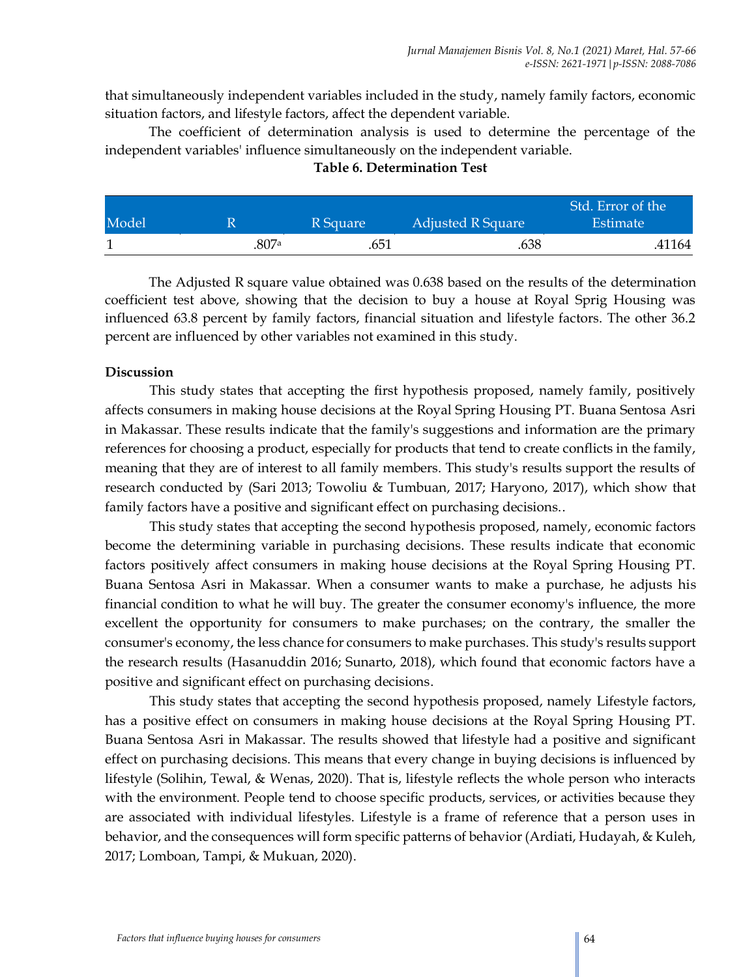that simultaneously independent variables included in the study, namely family factors, economic situation factors, and lifestyle factors, affect the dependent variable.

The coefficient of determination analysis is used to determine the percentage of the independent variables' influence simultaneously on the independent variable.

|       |      |          |                   | Std. Error of the |
|-------|------|----------|-------------------|-------------------|
| Model |      | R Square | Adjusted R Square | Estimate          |
|       | 807a | .651     | .638              | .41164            |

**Table 6. Determination Test**

The Adjusted R square value obtained was 0.638 based on the results of the determination coefficient test above, showing that the decision to buy a house at Royal Sprig Housing was influenced 63.8 percent by family factors, financial situation and lifestyle factors. The other 36.2 percent are influenced by other variables not examined in this study.

#### **Discussion**

This study states that accepting the first hypothesis proposed, namely family, positively affects consumers in making house decisions at the Royal Spring Housing PT. Buana Sentosa Asri in Makassar. These results indicate that the family's suggestions and information are the primary references for choosing a product, especially for products that tend to create conflicts in the family, meaning that they are of interest to all family members. This study's results support the results of research conducted by (Sari 2013; Towoliu & Tumbuan, 2017; Haryono, 2017), which show that family factors have a positive and significant effect on purchasing decisions..

This study states that accepting the second hypothesis proposed, namely, economic factors become the determining variable in purchasing decisions. These results indicate that economic factors positively affect consumers in making house decisions at the Royal Spring Housing PT. Buana Sentosa Asri in Makassar. When a consumer wants to make a purchase, he adjusts his financial condition to what he will buy. The greater the consumer economy's influence, the more excellent the opportunity for consumers to make purchases; on the contrary, the smaller the consumer's economy, the less chance for consumers to make purchases. This study's results support the research results (Hasanuddin 2016; Sunarto, 2018), which found that economic factors have a positive and significant effect on purchasing decisions.

This study states that accepting the second hypothesis proposed, namely Lifestyle factors, has a positive effect on consumers in making house decisions at the Royal Spring Housing PT. Buana Sentosa Asri in Makassar. The results showed that lifestyle had a positive and significant effect on purchasing decisions. This means that every change in buying decisions is influenced by lifestyle (Solihin, Tewal, & Wenas, 2020). That is, lifestyle reflects the whole person who interacts with the environment. People tend to choose specific products, services, or activities because they are associated with individual lifestyles. Lifestyle is a frame of reference that a person uses in behavior, and the consequences will form specific patterns of behavior (Ardiati, Hudayah, & Kuleh, 2017; Lomboan, Tampi, & Mukuan, 2020).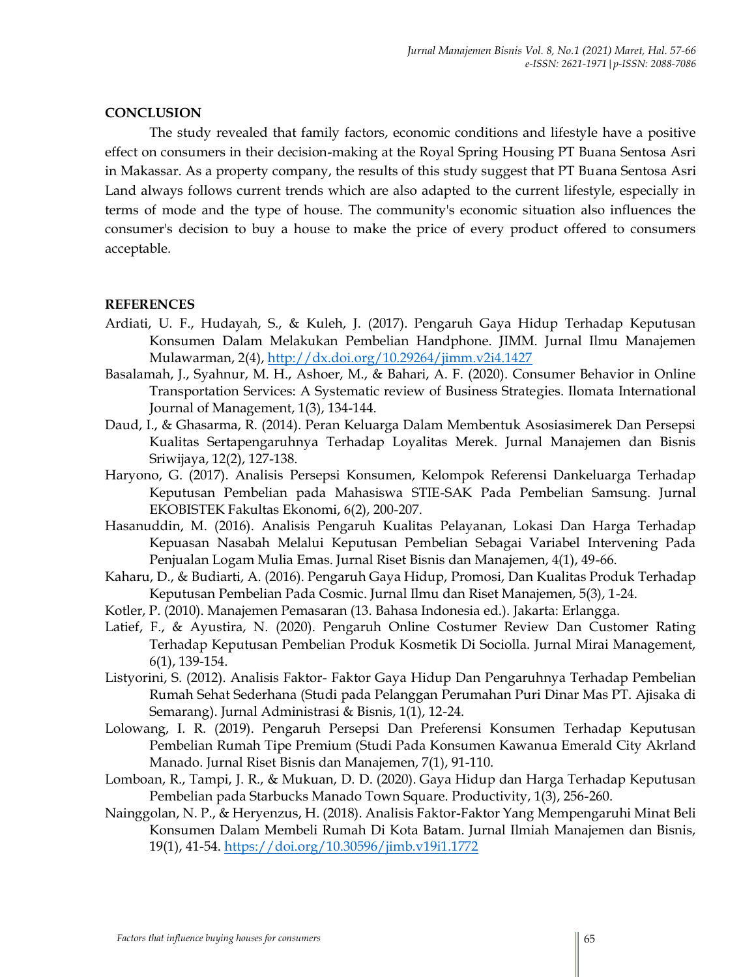#### **CONCLUSION**

The study revealed that family factors, economic conditions and lifestyle have a positive effect on consumers in their decision-making at the Royal Spring Housing PT Buana Sentosa Asri in Makassar. As a property company, the results of this study suggest that PT Buana Sentosa Asri Land always follows current trends which are also adapted to the current lifestyle, especially in terms of mode and the type of house. The community's economic situation also influences the consumer's decision to buy a house to make the price of every product offered to consumers acceptable.

#### **REFERENCES**

- Ardiati, U. F., Hudayah, S., & Kuleh, J. (2017). Pengaruh Gaya Hidup Terhadap Keputusan Konsumen Dalam Melakukan Pembelian Handphone. JIMM. Jurnal Ilmu Manajemen Mulawarman, 2(4)[, http://dx.doi.org/10.29264/jimm.v2i4.1427](http://dx.doi.org/10.29264/jimm.v2i4.1427)
- Basalamah, J., Syahnur, M. H., Ashoer, M., & Bahari, A. F. (2020). Consumer Behavior in Online Transportation Services: A Systematic review of Business Strategies. Ilomata International Journal of Management, 1(3), 134-144.
- Daud, I., & Ghasarma, R. (2014). Peran Keluarga Dalam Membentuk Asosiasimerek Dan Persepsi Kualitas Sertapengaruhnya Terhadap Loyalitas Merek. Jurnal Manajemen dan Bisnis Sriwijaya, 12(2), 127-138.
- Haryono, G. (2017). Analisis Persepsi Konsumen, Kelompok Referensi Dankeluarga Terhadap Keputusan Pembelian pada Mahasiswa STIE-SAK Pada Pembelian Samsung. Jurnal EKOBISTEK Fakultas Ekonomi, 6(2), 200-207.
- Hasanuddin, M. (2016). Analisis Pengaruh Kualitas Pelayanan, Lokasi Dan Harga Terhadap Kepuasan Nasabah Melalui Keputusan Pembelian Sebagai Variabel Intervening Pada Penjualan Logam Mulia Emas. Jurnal Riset Bisnis dan Manajemen, 4(1), 49-66.
- Kaharu, D., & Budiarti, A. (2016). Pengaruh Gaya Hidup, Promosi, Dan Kualitas Produk Terhadap Keputusan Pembelian Pada Cosmic. Jurnal Ilmu dan Riset Manajemen, 5(3), 1-24.
- Kotler, P. (2010). Manajemen Pemasaran (13. Bahasa Indonesia ed.). Jakarta: Erlangga.
- Latief, F., & Ayustira, N. (2020). Pengaruh Online Costumer Review Dan Customer Rating Terhadap Keputusan Pembelian Produk Kosmetik Di Sociolla. Jurnal Mirai Management, 6(1), 139-154.
- Listyorini, S. (2012). Analisis Faktor- Faktor Gaya Hidup Dan Pengaruhnya Terhadap Pembelian Rumah Sehat Sederhana (Studi pada Pelanggan Perumahan Puri Dinar Mas PT. Ajisaka di Semarang). Jurnal Administrasi & Bisnis, 1(1), 12-24.
- Lolowang, I. R. (2019). Pengaruh Persepsi Dan Preferensi Konsumen Terhadap Keputusan Pembelian Rumah Tipe Premium (Studi Pada Konsumen Kawanua Emerald City Akrland Manado. Jurnal Riset Bisnis dan Manajemen, 7(1), 91-110.
- Lomboan, R., Tampi, J. R., & Mukuan, D. D. (2020). Gaya Hidup dan Harga Terhadap Keputusan Pembelian pada Starbucks Manado Town Square. Productivity, 1(3), 256-260.
- Nainggolan, N. P., & Heryenzus, H. (2018). Analisis Faktor-Faktor Yang Mempengaruhi Minat Beli Konsumen Dalam Membeli Rumah Di Kota Batam. Jurnal Ilmiah Manajemen dan Bisnis, 19(1), 41-54[. https://doi.org/10.30596/jimb.v19i1.1772](https://doi.org/10.30596/jimb.v19i1.1772)